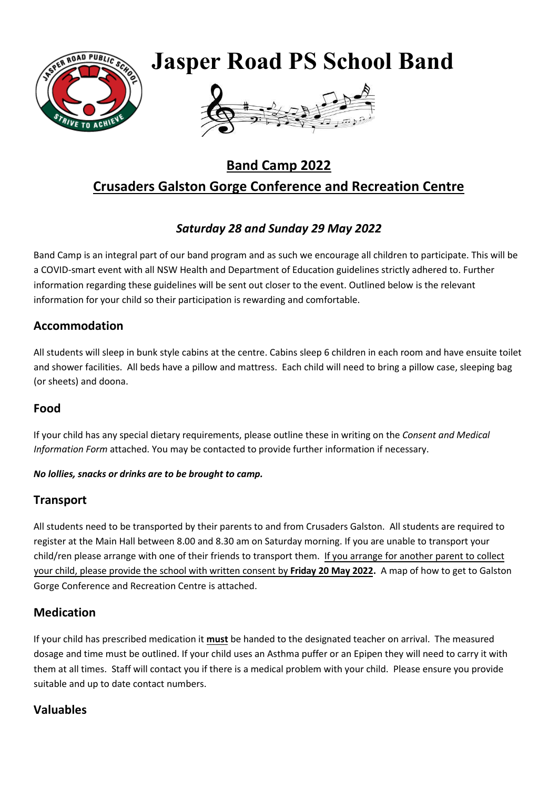

# **Band Camp 2022 Crusaders Galston Gorge Conference and Recreation Centre**

## *Saturday 28 and Sunday 29 May 2022*

Band Camp is an integral part of our band program and as such we encourage all children to participate. This will be a COVID-smart event with all NSW Health and Department of Education guidelines strictly adhered to. Further information regarding these guidelines will be sent out closer to the event. Outlined below is the relevant information for your child so their participation is rewarding and comfortable.

### **Accommodation**

All students will sleep in bunk style cabins at the centre. Cabins sleep 6 children in each room and have ensuite toilet and shower facilities. All beds have a pillow and mattress. Each child will need to bring a pillow case, sleeping bag (or sheets) and doona.

### **Food**

If your child has any special dietary requirements, please outline these in writing on the *Consent and Medical Information Form* attached. You may be contacted to provide further information if necessary.

#### *No lollies, snacks or drinks are to be brought to camp.*

#### **Transport**

All students need to be transported by their parents to and from Crusaders Galston. All students are required to register at the Main Hall between 8.00 and 8.30 am on Saturday morning. If you are unable to transport your child/ren please arrange with one of their friends to transport them. If you arrange for another parent to collect your child, please provide the school with written consent by **Friday 20 May 2022.** A map of how to get to Galston Gorge Conference and Recreation Centre is attached.

### **Medication**

If your child has prescribed medication it **must** be handed to the designated teacher on arrival. The measured dosage and time must be outlined. If your child uses an Asthma puffer or an Epipen they will need to carry it with them at all times. Staff will contact you if there is a medical problem with your child. Please ensure you provide suitable and up to date contact numbers.

### **Valuables**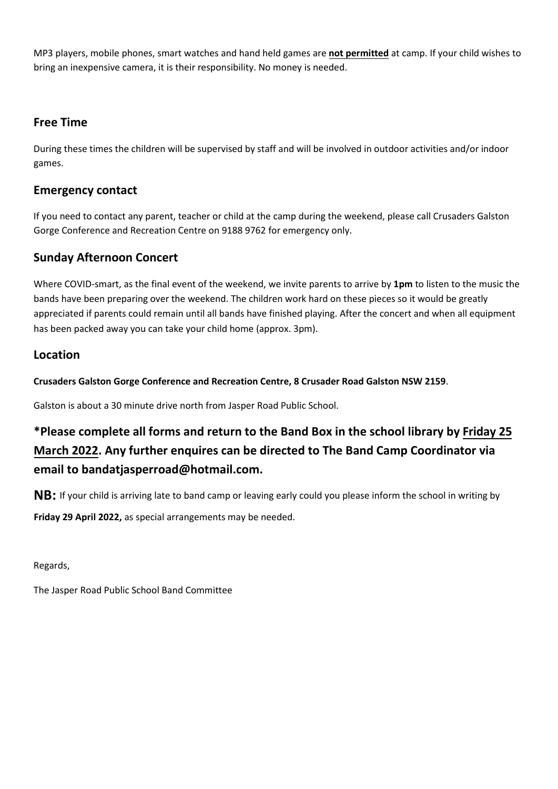MP3 players, mobile phones, smart watches and hand held games are **not permitted** at camp. If your child wishes to bring an inexpensive camera, it is their responsibility. No money is needed.

#### **Free Time**

During these times the children will be supervised by staff and will be involved in outdoor activities and/or indoor games.

#### **Emergency contact**

If you need to contact any parent, teacher or child at the camp during the weekend, please call Crusaders Galston Gorge Conference and Recreation Centre on 9188 9762 for emergency only.

### **Sunday Afternoon Concert**

Where COVID-smart, as the final event of the weekend, we invite parents to arrive by **1pm** to listen to the music the bands have been preparing over the weekend. The children work hard on these pieces so it would be greatly appreciated if parents could remain until all bands have finished playing. After the concert and when all equipment has been packed away you can take your child home (approx. 3pm).

#### **Location**

**Crusaders Galston Gorge Conference and Recreation Centre, 8 Crusader Road Galston NSW 2159**.

Galston is about a 30 minute drive north from Jasper Road Public School.

# **\*Please complete all forms and return to the Band Box in the school library by Friday 25 March 2022. Any further enquires can be directed to The Band Camp Coordinator via email to bandatjasperroad@hotmail.com.**

**NB:** If your child is arriving late to band camp or leaving early could you please inform the school in writing by

**Friday 29 April 2022,** as special arrangements may be needed.

Regards,

The Jasper Road Public School Band Committee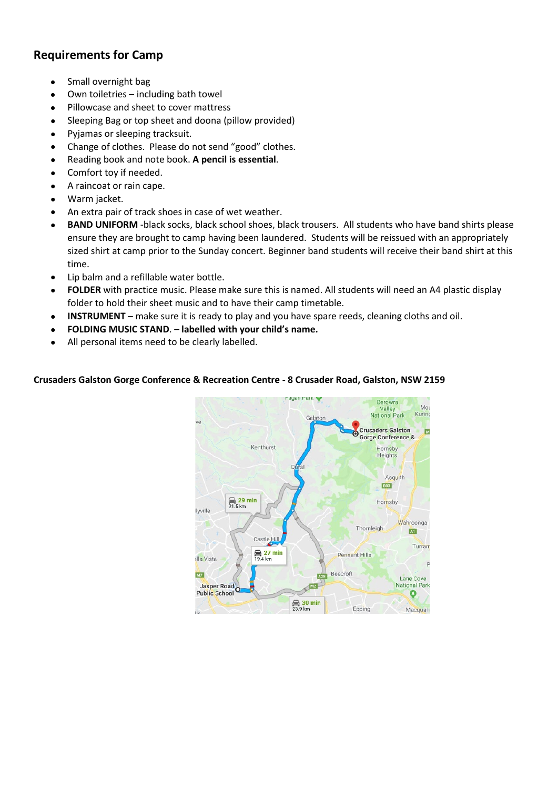### **Requirements for Camp**

- Small overnight bag
- Own toiletries including bath towel
- Pillowcase and sheet to cover mattress
- Sleeping Bag or top sheet and doona (pillow provided)
- Pyjamas or sleeping tracksuit.
- Change of clothes. Please do not send "good" clothes.
- Reading book and note book. **A pencil is essential**.
- Comfort toy if needed.
- A raincoat or rain cape.
- Warm jacket.
- An extra pair of track shoes in case of wet weather.
- **BAND UNIFORM** -black socks, black school shoes, black trousers. All students who have band shirts please ensure they are brought to camp having been laundered. Students will be reissued with an appropriately sized shirt at camp prior to the Sunday concert. Beginner band students will receive their band shirt at this time.
- Lip balm and a refillable water bottle.
- **FOLDER** with practice music. Please make sure this is named. All students will need an A4 plastic display folder to hold their sheet music and to have their camp timetable.
- **INSTRUMENT** make sure it is ready to play and you have spare reeds, cleaning cloths and oil.
- **FOLDING MUSIC STAND**. **labelled with your child's name.**
- All personal items need to be clearly labelled.

#### **Crusaders Galston Gorge Conference & Recreation Centre - 8 Crusader Road, Galston, NSW 2159**

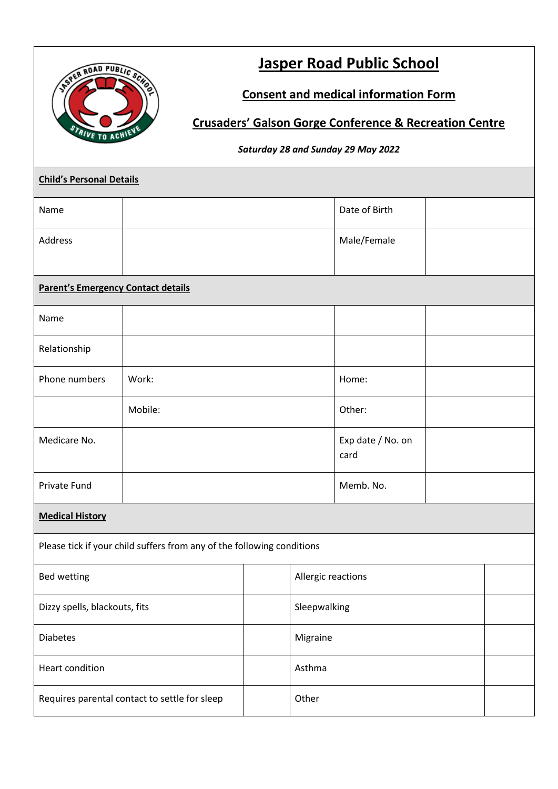

# **Jasper Road Public School**

## **Consent and medical information Form**

## **Crusaders' Galson Gorge Conference & Recreation Centre**

#### *Saturday 28 and Sunday 29 May 2022*

| <b>Child's Personal Details</b>                                        |         |  |                    |                           |  |  |  |
|------------------------------------------------------------------------|---------|--|--------------------|---------------------------|--|--|--|
| Name                                                                   |         |  |                    | Date of Birth             |  |  |  |
| Address                                                                |         |  |                    | Male/Female               |  |  |  |
|                                                                        |         |  |                    |                           |  |  |  |
| <b>Parent's Emergency Contact details</b>                              |         |  |                    |                           |  |  |  |
| Name                                                                   |         |  |                    |                           |  |  |  |
| Relationship                                                           |         |  |                    |                           |  |  |  |
| Phone numbers                                                          | Work:   |  |                    | Home:                     |  |  |  |
|                                                                        | Mobile: |  | Other:             |                           |  |  |  |
| Medicare No.                                                           |         |  |                    | Exp date / No. on<br>card |  |  |  |
| Private Fund                                                           |         |  |                    | Memb. No.                 |  |  |  |
| <b>Medical History</b>                                                 |         |  |                    |                           |  |  |  |
| Please tick if your child suffers from any of the following conditions |         |  |                    |                           |  |  |  |
| <b>Bed wetting</b>                                                     |         |  | Allergic reactions |                           |  |  |  |
| Dizzy spells, blackouts, fits                                          |         |  | Sleepwalking       |                           |  |  |  |
| <b>Diabetes</b>                                                        |         |  | Migraine           |                           |  |  |  |
| Heart condition                                                        |         |  | Asthma             |                           |  |  |  |
| Requires parental contact to settle for sleep                          |         |  | Other              |                           |  |  |  |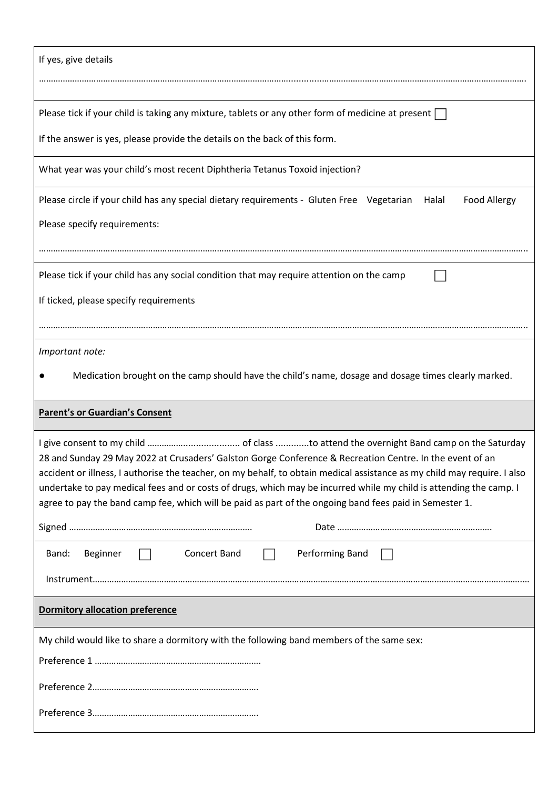| If yes, give details                                                                                                                                                                                                                                                                                                                                       |  |  |  |  |  |  |  |
|------------------------------------------------------------------------------------------------------------------------------------------------------------------------------------------------------------------------------------------------------------------------------------------------------------------------------------------------------------|--|--|--|--|--|--|--|
|                                                                                                                                                                                                                                                                                                                                                            |  |  |  |  |  |  |  |
| Please tick if your child is taking any mixture, tablets or any other form of medicine at present                                                                                                                                                                                                                                                          |  |  |  |  |  |  |  |
| If the answer is yes, please provide the details on the back of this form.                                                                                                                                                                                                                                                                                 |  |  |  |  |  |  |  |
| What year was your child's most recent Diphtheria Tetanus Toxoid injection?                                                                                                                                                                                                                                                                                |  |  |  |  |  |  |  |
| Please circle if your child has any special dietary requirements - Gluten Free Vegetarian<br>Food Allergy<br>Halal                                                                                                                                                                                                                                         |  |  |  |  |  |  |  |
| Please specify requirements:                                                                                                                                                                                                                                                                                                                               |  |  |  |  |  |  |  |
|                                                                                                                                                                                                                                                                                                                                                            |  |  |  |  |  |  |  |
| Please tick if your child has any social condition that may require attention on the camp                                                                                                                                                                                                                                                                  |  |  |  |  |  |  |  |
| If ticked, please specify requirements                                                                                                                                                                                                                                                                                                                     |  |  |  |  |  |  |  |
|                                                                                                                                                                                                                                                                                                                                                            |  |  |  |  |  |  |  |
| Important note:                                                                                                                                                                                                                                                                                                                                            |  |  |  |  |  |  |  |
|                                                                                                                                                                                                                                                                                                                                                            |  |  |  |  |  |  |  |
| Medication brought on the camp should have the child's name, dosage and dosage times clearly marked.                                                                                                                                                                                                                                                       |  |  |  |  |  |  |  |
| <b>Parent's or Guardian's Consent</b>                                                                                                                                                                                                                                                                                                                      |  |  |  |  |  |  |  |
| 28 and Sunday 29 May 2022 at Crusaders' Galston Gorge Conference & Recreation Centre. In the event of an<br>accident or illness, I authorise the teacher, on my behalf, to obtain medical assistance as my child may require. I also<br>undertake to pay medical fees and or costs of drugs, which may be incurred while my child is attending the camp. I |  |  |  |  |  |  |  |
| agree to pay the band camp fee, which will be paid as part of the ongoing band fees paid in Semester 1.                                                                                                                                                                                                                                                    |  |  |  |  |  |  |  |
|                                                                                                                                                                                                                                                                                                                                                            |  |  |  |  |  |  |  |
| Performing Band<br>Band:<br>Beginner<br>Concert Band                                                                                                                                                                                                                                                                                                       |  |  |  |  |  |  |  |
|                                                                                                                                                                                                                                                                                                                                                            |  |  |  |  |  |  |  |
| <b>Dormitory allocation preference</b>                                                                                                                                                                                                                                                                                                                     |  |  |  |  |  |  |  |
| My child would like to share a dormitory with the following band members of the same sex:                                                                                                                                                                                                                                                                  |  |  |  |  |  |  |  |
|                                                                                                                                                                                                                                                                                                                                                            |  |  |  |  |  |  |  |
|                                                                                                                                                                                                                                                                                                                                                            |  |  |  |  |  |  |  |
|                                                                                                                                                                                                                                                                                                                                                            |  |  |  |  |  |  |  |